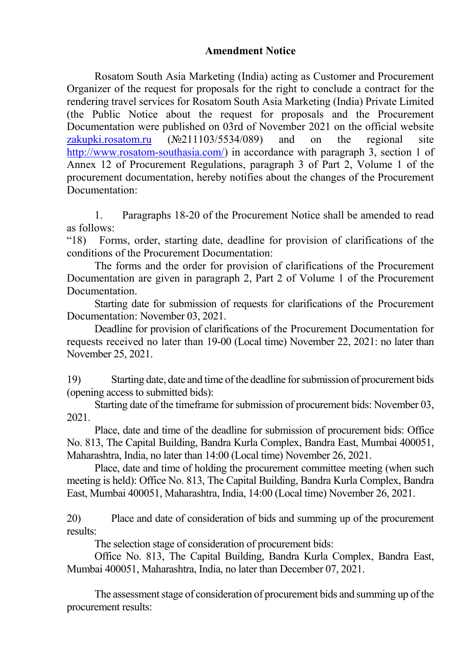## **Amendment Notice**

Rosatom South Asia Marketing (India) acting as Customer and Procurement Organizer of the request for proposals for the right to conclude a contract for the rendering travel services for Rosatom South Asia Marketing (India) Private Limited (the Public Notice about the request for proposals and the Procurement Documentation were published on 03rd of November 2021 on the official website zakupki.rosatom.ru (№211103/5534/089) and on the regional site http://www.rosatom-southasia.com/) in accordance with paragraph 3, section 1 of Annex 12 of Procurement Regulations, paragraph 3 of Part 2, Volume 1 of the procurement documentation, hereby notifies about the changes of the Procurement Documentation:

1. Paragraphs 18-20 of the Procurement Notice shall be amended to read as follows:

"18) Forms, order, starting date, deadline for provision of clarifications of the conditions of the Procurement Documentation:

The forms and the order for provision of clarifications of the Procurement Documentation are given in paragraph 2, Part 2 of Volume 1 of the Procurement Documentation.

Starting date for submission of requests for clarifications of the Procurement Documentation: November 03, 2021.

Deadline for provision of clarifications of the Procurement Documentation for requests received no later than 19-00 (Local time) November 22, 2021: no later than November 25, 2021.

19) Starting date, date and time of the deadline for submission of procurement bids (opening access to submitted bids):

Starting date of the timeframe for submission of procurement bids: November 03, 2021.

Place, date and time of the deadline for submission of procurement bids: Office No. 813, The Capital Building, Bandra Kurla Complex, Bandra East, Mumbai 400051, Maharashtra, India, no later than 14:00 (Local time) November 26, 2021.

Place, date and time of holding the procurement committee meeting (when such meeting is held): Office No. 813, The Capital Building, Bandra Kurla Complex, Bandra East, Mumbai 400051, Maharashtra, India, 14:00 (Local time) November 26, 2021.

20) Place and date of consideration of bids and summing up of the procurement results:

The selection stage of consideration of procurement bids:

Office No. 813, The Capital Building, Bandra Kurla Complex, Bandra East, Mumbai 400051, Maharashtra, India, no later than December 07, 2021.

The assessment stage of consideration of procurement bids and summing up of the procurement results: